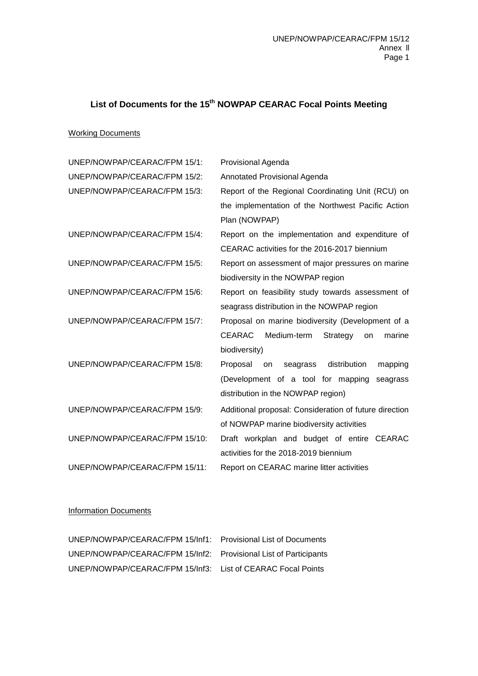## **List of Documents for the 15th NOWPAP CEARAC Focal Points Meeting**

## Working Documents

| UNEP/NOWPAP/CEARAC/FPM 15/1:  | Provisional Agenda                                       |
|-------------------------------|----------------------------------------------------------|
| UNEP/NOWPAP/CEARAC/FPM 15/2:  | Annotated Provisional Agenda                             |
| UNEP/NOWPAP/CEARAC/FPM 15/3:  | Report of the Regional Coordinating Unit (RCU) on        |
|                               | the implementation of the Northwest Pacific Action       |
|                               | Plan (NOWPAP)                                            |
| UNEP/NOWPAP/CEARAC/FPM 15/4:  | Report on the implementation and expenditure of          |
|                               | CEARAC activities for the 2016-2017 biennium             |
| UNEP/NOWPAP/CEARAC/FPM 15/5:  | Report on assessment of major pressures on marine        |
|                               | biodiversity in the NOWPAP region                        |
| UNEP/NOWPAP/CEARAC/FPM 15/6:  | Report on feasibility study towards assessment of        |
|                               | seagrass distribution in the NOWPAP region               |
| UNEP/NOWPAP/CEARAC/FPM 15/7:  | Proposal on marine biodiversity (Development of a        |
|                               | Medium-term<br><b>CEARAC</b><br>Strategy<br>marine<br>on |
|                               | biodiversity)                                            |
| UNEP/NOWPAP/CEARAC/FPM 15/8:  | Proposal<br>seagrass distribution<br>mapping<br>on       |
|                               | (Development of a tool for mapping<br>seagrass           |
|                               | distribution in the NOWPAP region)                       |
| UNEP/NOWPAP/CEARAC/FPM 15/9:  | Additional proposal: Consideration of future direction   |
|                               | of NOWPAP marine biodiversity activities                 |
| UNEP/NOWPAP/CEARAC/FPM 15/10: | Draft workplan and budget of entire CEARAC               |
|                               | activities for the 2018-2019 biennium                    |
| UNEP/NOWPAP/CEARAC/FPM 15/11: | Report on CEARAC marine litter activities                |

## Information Documents

| UNEP/NOWPAP/CEARAC/FPM 15/Inf1: Provisional List of Documents    |  |
|------------------------------------------------------------------|--|
| UNEP/NOWPAP/CEARAC/FPM 15/Inf2: Provisional List of Participants |  |
| UNEP/NOWPAP/CEARAC/FPM 15/Inf3: List of CEARAC Focal Points      |  |